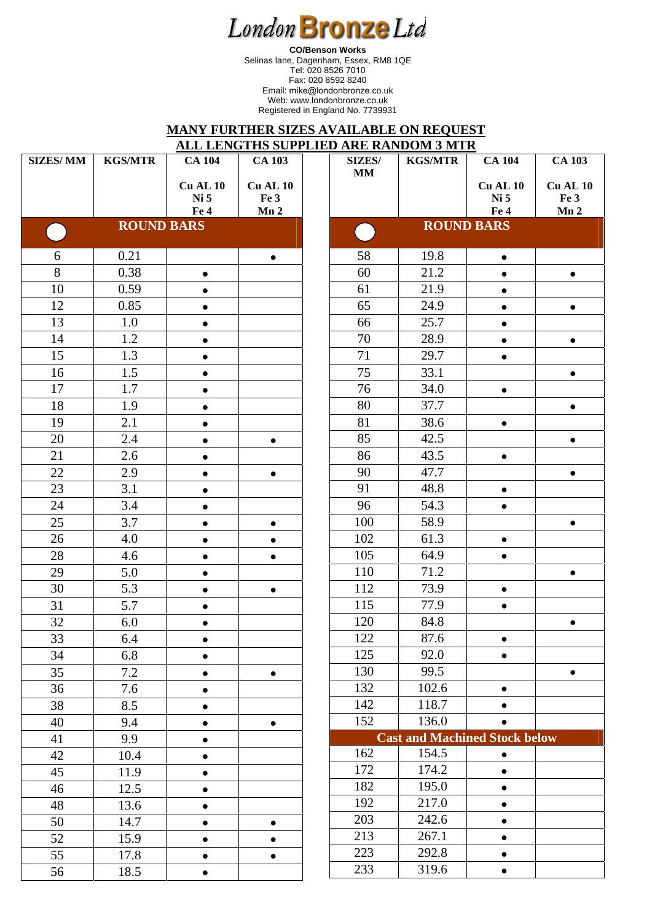**CO/Benson Works**  Selinas lane, Dagenham, Essex, RM8 1QE Tel: 020 8526 7010 Fax: 020 8592 8240 Email: mike@londonbronze.co.uk Web: www.londonbronze.co.uk Registered in England No. 7739931

#### **MANY FURTHER SIZES AVAILABLE ON REQUEST ALL LENGTHS SUPPLIED ARE RANDOM 3 MTR**

| <b>SIZES/MM</b><br><b>CA 103</b><br><b>KGS/MTR</b><br><b>CA 104</b><br><b>CA 103</b><br><b>SIZES/</b><br><b>KGS/MTR</b><br><b>CA 104</b><br><b>MM</b><br><b>Cu AL 10</b><br><b>Cu AL 10</b><br><b>Cu AL 10</b><br>Cu AL 10<br>Fe 3<br>Ni 5<br>Ni 5<br>Fe 3<br>Mn2<br>Fe 4<br>Mn2<br>Fe 4<br><b>ROUND BARS</b><br><b>ROUND BARS</b><br>$\mathcal{L}(\mathcal{A})$<br>$\overline{\mathcal{L}}$<br>0.21<br>6<br>58<br>19.8<br>$\bullet$<br>$\bullet$<br>8<br>0.38<br>60<br>21.2<br>$\bullet$<br>$\bullet$<br>$\bullet$<br>10<br>0.59<br>61<br>21.9<br>$\bullet$<br>$\bullet$<br>65<br>12<br>0.85<br>24.9<br>$\bullet$<br>$\bullet$<br>$\bullet$<br>13<br>1.0<br>66<br>25.7<br>$\bullet$<br>70<br>14<br>1.2<br>28.9<br>$\bullet$<br>$\bullet$<br>15<br>71<br>1.3<br>29.7<br>$\bullet$<br>75<br>16<br>1.5<br>33.1<br>$\bullet$<br>$\bullet$<br>17<br>1.7<br>76<br>34.0<br>$\bullet$<br>80<br>37.7<br>18<br>1.9<br>$\bullet$<br>$\bullet$<br>81<br>38.6<br>19<br>2.1<br>$\bullet$<br>$\bullet$<br>85<br>20<br>2.4<br>42.5<br>$\bullet$<br>$\bullet$<br>$\bullet$<br>86<br>21<br>43.5<br>2.6<br>$\bullet$<br>22<br>90<br>47.7<br>2.9<br>$\bullet$<br>$\bullet$<br>$\bullet$<br>91<br>23<br>3.1<br>48.8<br>$\bullet$<br>$\bullet$<br>96<br>54.3<br>3.4<br>24<br>$\bullet$<br>$\bullet$<br>25<br>3.7<br>100<br>58.9<br>$\bullet$<br>$\bullet$<br>102<br>61.3<br>26<br>4.0<br>$\bullet$<br>$\bullet$<br>$\bullet$<br>28<br>105<br>64.9<br>4.6<br>$\bullet$<br>$\bullet$<br>$\bullet$<br>110<br>71.2<br>29<br>5.0<br>$\bullet$<br>$\bullet$<br>30<br>5.3<br>112<br>73.9<br>$\bullet$<br>$\bullet$<br>115<br>31<br>5.7<br>77.9<br>$\bullet$<br>120<br>32<br>84.8<br>6.0<br>$\bullet$<br>33<br>122<br>87.6<br>6.4<br>125<br>34<br>92.0<br>6.8<br>$\bullet$<br>$\bullet$<br>130<br>99.5<br>35<br>7.2<br>$\bullet$<br>$\bullet$<br>132<br>102.6<br>36<br>7.6<br>$\bullet$<br>$\bullet$<br>142<br>118.7<br>38<br>8.5<br>$\bullet$<br>152<br>136.0<br>40<br>9.4<br>$\bullet$<br>$\bullet$<br>$\bullet$<br><b>Cast and Machined Stock below</b><br>9.9<br>41<br>162<br>154.5<br>42<br>10.4<br>$\bullet$<br>172<br>174.2<br>45<br>11.9<br>$\bullet$<br>182<br>195.0<br>46<br>12.5<br>$\bullet$<br>$\bullet$<br>217.0<br>192<br>48<br>13.6<br>$\bullet$<br>203<br>242.6<br>14.7<br>50<br>$\bullet$<br>$\bullet$<br>$\bullet$<br>213<br>267.1<br>52<br>15.9<br>$\bullet$<br>$\bullet$<br>$\bullet$<br>223<br>292.8<br>55<br>17.8<br>$\bullet$<br>$\bullet$<br>233<br>319.6<br>56<br>18.5<br>$\bullet$ |  |  |  | ALL LERO HID BOIT LIED AND NATIOOM 9 MITN |  |
|----------------------------------------------------------------------------------------------------------------------------------------------------------------------------------------------------------------------------------------------------------------------------------------------------------------------------------------------------------------------------------------------------------------------------------------------------------------------------------------------------------------------------------------------------------------------------------------------------------------------------------------------------------------------------------------------------------------------------------------------------------------------------------------------------------------------------------------------------------------------------------------------------------------------------------------------------------------------------------------------------------------------------------------------------------------------------------------------------------------------------------------------------------------------------------------------------------------------------------------------------------------------------------------------------------------------------------------------------------------------------------------------------------------------------------------------------------------------------------------------------------------------------------------------------------------------------------------------------------------------------------------------------------------------------------------------------------------------------------------------------------------------------------------------------------------------------------------------------------------------------------------------------------------------------------------------------------------------------------------------------------------------------------------------------------------------------------------------------------------------------------------------------------------------------------------------------------------------------------------------------------------------------------------------------------------------------------------------------------------------------------------------------------------------------------------------------------------------------------|--|--|--|-------------------------------------------|--|
|                                                                                                                                                                                                                                                                                                                                                                                                                                                                                                                                                                                                                                                                                                                                                                                                                                                                                                                                                                                                                                                                                                                                                                                                                                                                                                                                                                                                                                                                                                                                                                                                                                                                                                                                                                                                                                                                                                                                                                                                                                                                                                                                                                                                                                                                                                                                                                                                                                                                                  |  |  |  |                                           |  |
|                                                                                                                                                                                                                                                                                                                                                                                                                                                                                                                                                                                                                                                                                                                                                                                                                                                                                                                                                                                                                                                                                                                                                                                                                                                                                                                                                                                                                                                                                                                                                                                                                                                                                                                                                                                                                                                                                                                                                                                                                                                                                                                                                                                                                                                                                                                                                                                                                                                                                  |  |  |  |                                           |  |
|                                                                                                                                                                                                                                                                                                                                                                                                                                                                                                                                                                                                                                                                                                                                                                                                                                                                                                                                                                                                                                                                                                                                                                                                                                                                                                                                                                                                                                                                                                                                                                                                                                                                                                                                                                                                                                                                                                                                                                                                                                                                                                                                                                                                                                                                                                                                                                                                                                                                                  |  |  |  |                                           |  |
|                                                                                                                                                                                                                                                                                                                                                                                                                                                                                                                                                                                                                                                                                                                                                                                                                                                                                                                                                                                                                                                                                                                                                                                                                                                                                                                                                                                                                                                                                                                                                                                                                                                                                                                                                                                                                                                                                                                                                                                                                                                                                                                                                                                                                                                                                                                                                                                                                                                                                  |  |  |  |                                           |  |
|                                                                                                                                                                                                                                                                                                                                                                                                                                                                                                                                                                                                                                                                                                                                                                                                                                                                                                                                                                                                                                                                                                                                                                                                                                                                                                                                                                                                                                                                                                                                                                                                                                                                                                                                                                                                                                                                                                                                                                                                                                                                                                                                                                                                                                                                                                                                                                                                                                                                                  |  |  |  |                                           |  |
|                                                                                                                                                                                                                                                                                                                                                                                                                                                                                                                                                                                                                                                                                                                                                                                                                                                                                                                                                                                                                                                                                                                                                                                                                                                                                                                                                                                                                                                                                                                                                                                                                                                                                                                                                                                                                                                                                                                                                                                                                                                                                                                                                                                                                                                                                                                                                                                                                                                                                  |  |  |  |                                           |  |
|                                                                                                                                                                                                                                                                                                                                                                                                                                                                                                                                                                                                                                                                                                                                                                                                                                                                                                                                                                                                                                                                                                                                                                                                                                                                                                                                                                                                                                                                                                                                                                                                                                                                                                                                                                                                                                                                                                                                                                                                                                                                                                                                                                                                                                                                                                                                                                                                                                                                                  |  |  |  |                                           |  |
|                                                                                                                                                                                                                                                                                                                                                                                                                                                                                                                                                                                                                                                                                                                                                                                                                                                                                                                                                                                                                                                                                                                                                                                                                                                                                                                                                                                                                                                                                                                                                                                                                                                                                                                                                                                                                                                                                                                                                                                                                                                                                                                                                                                                                                                                                                                                                                                                                                                                                  |  |  |  |                                           |  |
|                                                                                                                                                                                                                                                                                                                                                                                                                                                                                                                                                                                                                                                                                                                                                                                                                                                                                                                                                                                                                                                                                                                                                                                                                                                                                                                                                                                                                                                                                                                                                                                                                                                                                                                                                                                                                                                                                                                                                                                                                                                                                                                                                                                                                                                                                                                                                                                                                                                                                  |  |  |  |                                           |  |
|                                                                                                                                                                                                                                                                                                                                                                                                                                                                                                                                                                                                                                                                                                                                                                                                                                                                                                                                                                                                                                                                                                                                                                                                                                                                                                                                                                                                                                                                                                                                                                                                                                                                                                                                                                                                                                                                                                                                                                                                                                                                                                                                                                                                                                                                                                                                                                                                                                                                                  |  |  |  |                                           |  |
|                                                                                                                                                                                                                                                                                                                                                                                                                                                                                                                                                                                                                                                                                                                                                                                                                                                                                                                                                                                                                                                                                                                                                                                                                                                                                                                                                                                                                                                                                                                                                                                                                                                                                                                                                                                                                                                                                                                                                                                                                                                                                                                                                                                                                                                                                                                                                                                                                                                                                  |  |  |  |                                           |  |
|                                                                                                                                                                                                                                                                                                                                                                                                                                                                                                                                                                                                                                                                                                                                                                                                                                                                                                                                                                                                                                                                                                                                                                                                                                                                                                                                                                                                                                                                                                                                                                                                                                                                                                                                                                                                                                                                                                                                                                                                                                                                                                                                                                                                                                                                                                                                                                                                                                                                                  |  |  |  |                                           |  |
|                                                                                                                                                                                                                                                                                                                                                                                                                                                                                                                                                                                                                                                                                                                                                                                                                                                                                                                                                                                                                                                                                                                                                                                                                                                                                                                                                                                                                                                                                                                                                                                                                                                                                                                                                                                                                                                                                                                                                                                                                                                                                                                                                                                                                                                                                                                                                                                                                                                                                  |  |  |  |                                           |  |
|                                                                                                                                                                                                                                                                                                                                                                                                                                                                                                                                                                                                                                                                                                                                                                                                                                                                                                                                                                                                                                                                                                                                                                                                                                                                                                                                                                                                                                                                                                                                                                                                                                                                                                                                                                                                                                                                                                                                                                                                                                                                                                                                                                                                                                                                                                                                                                                                                                                                                  |  |  |  |                                           |  |
|                                                                                                                                                                                                                                                                                                                                                                                                                                                                                                                                                                                                                                                                                                                                                                                                                                                                                                                                                                                                                                                                                                                                                                                                                                                                                                                                                                                                                                                                                                                                                                                                                                                                                                                                                                                                                                                                                                                                                                                                                                                                                                                                                                                                                                                                                                                                                                                                                                                                                  |  |  |  |                                           |  |
|                                                                                                                                                                                                                                                                                                                                                                                                                                                                                                                                                                                                                                                                                                                                                                                                                                                                                                                                                                                                                                                                                                                                                                                                                                                                                                                                                                                                                                                                                                                                                                                                                                                                                                                                                                                                                                                                                                                                                                                                                                                                                                                                                                                                                                                                                                                                                                                                                                                                                  |  |  |  |                                           |  |
|                                                                                                                                                                                                                                                                                                                                                                                                                                                                                                                                                                                                                                                                                                                                                                                                                                                                                                                                                                                                                                                                                                                                                                                                                                                                                                                                                                                                                                                                                                                                                                                                                                                                                                                                                                                                                                                                                                                                                                                                                                                                                                                                                                                                                                                                                                                                                                                                                                                                                  |  |  |  |                                           |  |
|                                                                                                                                                                                                                                                                                                                                                                                                                                                                                                                                                                                                                                                                                                                                                                                                                                                                                                                                                                                                                                                                                                                                                                                                                                                                                                                                                                                                                                                                                                                                                                                                                                                                                                                                                                                                                                                                                                                                                                                                                                                                                                                                                                                                                                                                                                                                                                                                                                                                                  |  |  |  |                                           |  |
|                                                                                                                                                                                                                                                                                                                                                                                                                                                                                                                                                                                                                                                                                                                                                                                                                                                                                                                                                                                                                                                                                                                                                                                                                                                                                                                                                                                                                                                                                                                                                                                                                                                                                                                                                                                                                                                                                                                                                                                                                                                                                                                                                                                                                                                                                                                                                                                                                                                                                  |  |  |  |                                           |  |
|                                                                                                                                                                                                                                                                                                                                                                                                                                                                                                                                                                                                                                                                                                                                                                                                                                                                                                                                                                                                                                                                                                                                                                                                                                                                                                                                                                                                                                                                                                                                                                                                                                                                                                                                                                                                                                                                                                                                                                                                                                                                                                                                                                                                                                                                                                                                                                                                                                                                                  |  |  |  |                                           |  |
|                                                                                                                                                                                                                                                                                                                                                                                                                                                                                                                                                                                                                                                                                                                                                                                                                                                                                                                                                                                                                                                                                                                                                                                                                                                                                                                                                                                                                                                                                                                                                                                                                                                                                                                                                                                                                                                                                                                                                                                                                                                                                                                                                                                                                                                                                                                                                                                                                                                                                  |  |  |  |                                           |  |
|                                                                                                                                                                                                                                                                                                                                                                                                                                                                                                                                                                                                                                                                                                                                                                                                                                                                                                                                                                                                                                                                                                                                                                                                                                                                                                                                                                                                                                                                                                                                                                                                                                                                                                                                                                                                                                                                                                                                                                                                                                                                                                                                                                                                                                                                                                                                                                                                                                                                                  |  |  |  |                                           |  |
|                                                                                                                                                                                                                                                                                                                                                                                                                                                                                                                                                                                                                                                                                                                                                                                                                                                                                                                                                                                                                                                                                                                                                                                                                                                                                                                                                                                                                                                                                                                                                                                                                                                                                                                                                                                                                                                                                                                                                                                                                                                                                                                                                                                                                                                                                                                                                                                                                                                                                  |  |  |  |                                           |  |
|                                                                                                                                                                                                                                                                                                                                                                                                                                                                                                                                                                                                                                                                                                                                                                                                                                                                                                                                                                                                                                                                                                                                                                                                                                                                                                                                                                                                                                                                                                                                                                                                                                                                                                                                                                                                                                                                                                                                                                                                                                                                                                                                                                                                                                                                                                                                                                                                                                                                                  |  |  |  |                                           |  |
|                                                                                                                                                                                                                                                                                                                                                                                                                                                                                                                                                                                                                                                                                                                                                                                                                                                                                                                                                                                                                                                                                                                                                                                                                                                                                                                                                                                                                                                                                                                                                                                                                                                                                                                                                                                                                                                                                                                                                                                                                                                                                                                                                                                                                                                                                                                                                                                                                                                                                  |  |  |  |                                           |  |
|                                                                                                                                                                                                                                                                                                                                                                                                                                                                                                                                                                                                                                                                                                                                                                                                                                                                                                                                                                                                                                                                                                                                                                                                                                                                                                                                                                                                                                                                                                                                                                                                                                                                                                                                                                                                                                                                                                                                                                                                                                                                                                                                                                                                                                                                                                                                                                                                                                                                                  |  |  |  |                                           |  |
|                                                                                                                                                                                                                                                                                                                                                                                                                                                                                                                                                                                                                                                                                                                                                                                                                                                                                                                                                                                                                                                                                                                                                                                                                                                                                                                                                                                                                                                                                                                                                                                                                                                                                                                                                                                                                                                                                                                                                                                                                                                                                                                                                                                                                                                                                                                                                                                                                                                                                  |  |  |  |                                           |  |
|                                                                                                                                                                                                                                                                                                                                                                                                                                                                                                                                                                                                                                                                                                                                                                                                                                                                                                                                                                                                                                                                                                                                                                                                                                                                                                                                                                                                                                                                                                                                                                                                                                                                                                                                                                                                                                                                                                                                                                                                                                                                                                                                                                                                                                                                                                                                                                                                                                                                                  |  |  |  |                                           |  |
|                                                                                                                                                                                                                                                                                                                                                                                                                                                                                                                                                                                                                                                                                                                                                                                                                                                                                                                                                                                                                                                                                                                                                                                                                                                                                                                                                                                                                                                                                                                                                                                                                                                                                                                                                                                                                                                                                                                                                                                                                                                                                                                                                                                                                                                                                                                                                                                                                                                                                  |  |  |  |                                           |  |
|                                                                                                                                                                                                                                                                                                                                                                                                                                                                                                                                                                                                                                                                                                                                                                                                                                                                                                                                                                                                                                                                                                                                                                                                                                                                                                                                                                                                                                                                                                                                                                                                                                                                                                                                                                                                                                                                                                                                                                                                                                                                                                                                                                                                                                                                                                                                                                                                                                                                                  |  |  |  |                                           |  |
|                                                                                                                                                                                                                                                                                                                                                                                                                                                                                                                                                                                                                                                                                                                                                                                                                                                                                                                                                                                                                                                                                                                                                                                                                                                                                                                                                                                                                                                                                                                                                                                                                                                                                                                                                                                                                                                                                                                                                                                                                                                                                                                                                                                                                                                                                                                                                                                                                                                                                  |  |  |  |                                           |  |
|                                                                                                                                                                                                                                                                                                                                                                                                                                                                                                                                                                                                                                                                                                                                                                                                                                                                                                                                                                                                                                                                                                                                                                                                                                                                                                                                                                                                                                                                                                                                                                                                                                                                                                                                                                                                                                                                                                                                                                                                                                                                                                                                                                                                                                                                                                                                                                                                                                                                                  |  |  |  |                                           |  |
|                                                                                                                                                                                                                                                                                                                                                                                                                                                                                                                                                                                                                                                                                                                                                                                                                                                                                                                                                                                                                                                                                                                                                                                                                                                                                                                                                                                                                                                                                                                                                                                                                                                                                                                                                                                                                                                                                                                                                                                                                                                                                                                                                                                                                                                                                                                                                                                                                                                                                  |  |  |  |                                           |  |
|                                                                                                                                                                                                                                                                                                                                                                                                                                                                                                                                                                                                                                                                                                                                                                                                                                                                                                                                                                                                                                                                                                                                                                                                                                                                                                                                                                                                                                                                                                                                                                                                                                                                                                                                                                                                                                                                                                                                                                                                                                                                                                                                                                                                                                                                                                                                                                                                                                                                                  |  |  |  |                                           |  |
|                                                                                                                                                                                                                                                                                                                                                                                                                                                                                                                                                                                                                                                                                                                                                                                                                                                                                                                                                                                                                                                                                                                                                                                                                                                                                                                                                                                                                                                                                                                                                                                                                                                                                                                                                                                                                                                                                                                                                                                                                                                                                                                                                                                                                                                                                                                                                                                                                                                                                  |  |  |  |                                           |  |
|                                                                                                                                                                                                                                                                                                                                                                                                                                                                                                                                                                                                                                                                                                                                                                                                                                                                                                                                                                                                                                                                                                                                                                                                                                                                                                                                                                                                                                                                                                                                                                                                                                                                                                                                                                                                                                                                                                                                                                                                                                                                                                                                                                                                                                                                                                                                                                                                                                                                                  |  |  |  |                                           |  |
|                                                                                                                                                                                                                                                                                                                                                                                                                                                                                                                                                                                                                                                                                                                                                                                                                                                                                                                                                                                                                                                                                                                                                                                                                                                                                                                                                                                                                                                                                                                                                                                                                                                                                                                                                                                                                                                                                                                                                                                                                                                                                                                                                                                                                                                                                                                                                                                                                                                                                  |  |  |  |                                           |  |
|                                                                                                                                                                                                                                                                                                                                                                                                                                                                                                                                                                                                                                                                                                                                                                                                                                                                                                                                                                                                                                                                                                                                                                                                                                                                                                                                                                                                                                                                                                                                                                                                                                                                                                                                                                                                                                                                                                                                                                                                                                                                                                                                                                                                                                                                                                                                                                                                                                                                                  |  |  |  |                                           |  |
|                                                                                                                                                                                                                                                                                                                                                                                                                                                                                                                                                                                                                                                                                                                                                                                                                                                                                                                                                                                                                                                                                                                                                                                                                                                                                                                                                                                                                                                                                                                                                                                                                                                                                                                                                                                                                                                                                                                                                                                                                                                                                                                                                                                                                                                                                                                                                                                                                                                                                  |  |  |  |                                           |  |
|                                                                                                                                                                                                                                                                                                                                                                                                                                                                                                                                                                                                                                                                                                                                                                                                                                                                                                                                                                                                                                                                                                                                                                                                                                                                                                                                                                                                                                                                                                                                                                                                                                                                                                                                                                                                                                                                                                                                                                                                                                                                                                                                                                                                                                                                                                                                                                                                                                                                                  |  |  |  |                                           |  |
|                                                                                                                                                                                                                                                                                                                                                                                                                                                                                                                                                                                                                                                                                                                                                                                                                                                                                                                                                                                                                                                                                                                                                                                                                                                                                                                                                                                                                                                                                                                                                                                                                                                                                                                                                                                                                                                                                                                                                                                                                                                                                                                                                                                                                                                                                                                                                                                                                                                                                  |  |  |  |                                           |  |
|                                                                                                                                                                                                                                                                                                                                                                                                                                                                                                                                                                                                                                                                                                                                                                                                                                                                                                                                                                                                                                                                                                                                                                                                                                                                                                                                                                                                                                                                                                                                                                                                                                                                                                                                                                                                                                                                                                                                                                                                                                                                                                                                                                                                                                                                                                                                                                                                                                                                                  |  |  |  |                                           |  |
|                                                                                                                                                                                                                                                                                                                                                                                                                                                                                                                                                                                                                                                                                                                                                                                                                                                                                                                                                                                                                                                                                                                                                                                                                                                                                                                                                                                                                                                                                                                                                                                                                                                                                                                                                                                                                                                                                                                                                                                                                                                                                                                                                                                                                                                                                                                                                                                                                                                                                  |  |  |  |                                           |  |
|                                                                                                                                                                                                                                                                                                                                                                                                                                                                                                                                                                                                                                                                                                                                                                                                                                                                                                                                                                                                                                                                                                                                                                                                                                                                                                                                                                                                                                                                                                                                                                                                                                                                                                                                                                                                                                                                                                                                                                                                                                                                                                                                                                                                                                                                                                                                                                                                                                                                                  |  |  |  |                                           |  |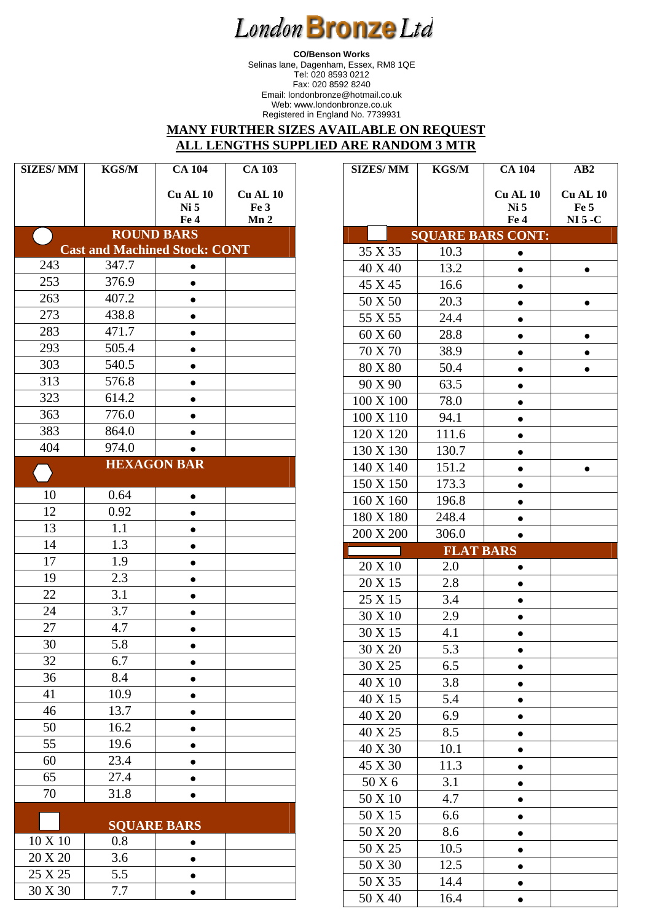**CO/Benson Works**  Selinas lane, Dagenham, Essex, RM8 1QE Tel: 020 8593 0212 Fax: 020 8592 8240 Email: londonbronze@hotmail.co.uk Web: www.londonbronze.co.uk Registered in England No. 7739931

#### **MANY FURTHER SIZES AVAILABLE ON REQUEST ALL LENGTHS SUPPLIED ARE RANDOM 3 MTR**

**r** 

| <b>SIZES/MM</b>                                           | <b>KGS/M</b> | <b>CA 104</b>      | <b>CA 103</b>   |  |  |  |  |  |  |
|-----------------------------------------------------------|--------------|--------------------|-----------------|--|--|--|--|--|--|
|                                                           |              |                    | <b>Cu AL 10</b> |  |  |  |  |  |  |
|                                                           |              | Cu AL 10<br>Ni 5   | Fe 3            |  |  |  |  |  |  |
|                                                           |              | Fe 4               | Mn <sub>2</sub> |  |  |  |  |  |  |
| <b>ROUND BARS</b><br><b>Cast and Machined Stock: CONT</b> |              |                    |                 |  |  |  |  |  |  |
| 243                                                       | 347.7        |                    |                 |  |  |  |  |  |  |
| 253                                                       | 376.9        | $\bullet$          |                 |  |  |  |  |  |  |
| 263                                                       | 407.2        | $\bullet$          |                 |  |  |  |  |  |  |
| 273                                                       | 438.8        | 0<br>$\bullet$     |                 |  |  |  |  |  |  |
| 283                                                       | 471.7        |                    |                 |  |  |  |  |  |  |
| 293                                                       | 505.4        |                    |                 |  |  |  |  |  |  |
| 303                                                       | 540.5        | $\bullet$          |                 |  |  |  |  |  |  |
| 313                                                       | 576.8        | $\bullet$          |                 |  |  |  |  |  |  |
| 323                                                       | 614.2        | $\bullet$          |                 |  |  |  |  |  |  |
| 363                                                       | 776.0        | $\bullet$          |                 |  |  |  |  |  |  |
| 383                                                       | 864.0        | $\bullet$          |                 |  |  |  |  |  |  |
| 404                                                       | 974.0        |                    |                 |  |  |  |  |  |  |
|                                                           |              | <b>HEXAGON BAR</b> |                 |  |  |  |  |  |  |
|                                                           |              |                    |                 |  |  |  |  |  |  |
| 10                                                        | 0.64         | ٠                  |                 |  |  |  |  |  |  |
| 12                                                        | 0.92         | $\bullet$          |                 |  |  |  |  |  |  |
| 13                                                        | 1.1          |                    |                 |  |  |  |  |  |  |
| 14                                                        | 1.3          |                    |                 |  |  |  |  |  |  |
| 17                                                        | 1.9          |                    |                 |  |  |  |  |  |  |
| 19                                                        | 2.3          |                    |                 |  |  |  |  |  |  |
| 22                                                        | 3.1          | $\bullet$          |                 |  |  |  |  |  |  |
| 24                                                        | 3.7          | $\bullet$          |                 |  |  |  |  |  |  |
| 27                                                        | 4.7          | $\bullet$          |                 |  |  |  |  |  |  |
| 30                                                        | 5.8          |                    |                 |  |  |  |  |  |  |
| 32                                                        | 6.7          |                    |                 |  |  |  |  |  |  |
| 36                                                        | 8.4          |                    |                 |  |  |  |  |  |  |
| 41                                                        | 10.9         | 0                  |                 |  |  |  |  |  |  |
| 46                                                        | 13.7         |                    |                 |  |  |  |  |  |  |
| 50                                                        | 16.2         |                    |                 |  |  |  |  |  |  |
| 55                                                        | 19.6         | $\bullet$          |                 |  |  |  |  |  |  |
| 60                                                        | 23.4         | $\bullet$          |                 |  |  |  |  |  |  |
| 65                                                        | 27.4         | $\bullet$          |                 |  |  |  |  |  |  |
| 70                                                        | 31.8         |                    |                 |  |  |  |  |  |  |
|                                                           |              |                    |                 |  |  |  |  |  |  |
| 10 X 10                                                   | 0.8          | <b>SQUARE BARS</b> |                 |  |  |  |  |  |  |
| 20 X 20                                                   | 3.6          | 0                  |                 |  |  |  |  |  |  |

 $25 X 25$  5.5  $\bullet$ 30 X 30 7.7 **•** 

|                    | <b>KGS/M</b>             | <b>CA 104</b>   | AB2             |
|--------------------|--------------------------|-----------------|-----------------|
|                    |                          | Cu AL 10        | <b>Cu AL 10</b> |
|                    |                          | Ni <sub>5</sub> | Fe 5            |
|                    |                          | Fe 4            | $NI$ 5 - $C$    |
|                    | <b>SQUARE BARS CONT:</b> |                 |                 |
| 35 X 35            | 10.3                     |                 |                 |
| 40 X 40            | 13.2                     |                 |                 |
| 45 X 45            | 16.6                     |                 |                 |
| 50 X 50            | 20.3                     | $\bullet$       | ●               |
| 55 X 55            | 24.4                     |                 |                 |
| 60 X 60            | 28.8                     |                 |                 |
| 70 X 70            | 38.9                     | ●               |                 |
| $80$ X $80$        | 50.4                     |                 |                 |
| 90 X 90            | 63.5                     |                 |                 |
| 100 X 100          | 78.0                     |                 |                 |
| 100 X 110          | 94.1                     |                 |                 |
| 120 X 120          | 111.6                    | $\bullet$       |                 |
| 130 X 130          | 130.7                    |                 |                 |
| 140 X 140          | 151.2                    |                 |                 |
| 150 X 150          | 173.3                    |                 |                 |
| 160 X 160          | 196.8                    |                 |                 |
| 180 X 180          | 248.4                    |                 |                 |
| 200 X 200          | 306.0                    |                 |                 |
|                    | <b>FLAT BARS</b>         |                 |                 |
| 20 X 10            | 2.0                      |                 |                 |
| 20 X 15            | 2.8                      |                 |                 |
| 25 X 15            |                          |                 |                 |
|                    | 3.4                      |                 |                 |
| 30 X 10            | 2.9                      |                 |                 |
| 30 X 15            | 4.1                      |                 |                 |
| 30 X 20            | 5.3                      |                 |                 |
| 30 X 25            | 6.5                      | $\bullet$       |                 |
| 40 X 10            | 3.8                      | $\bullet$       |                 |
| 40 X 15            | 5.4                      |                 |                 |
| $40 \times 20$     | 6.9                      | $\bullet$       |                 |
| 40 X 25            | 8.5                      |                 |                 |
|                    |                          |                 |                 |
| 40 X 30<br>45 X 30 | 10.1<br>11.3             |                 |                 |
| 50 X 6             | 3.1                      |                 |                 |
| 50 X 10            | 4.7                      | $\bullet$       |                 |
| 50 X 15            | 6.6                      | 0               |                 |
| 50 X 20            |                          | $\bullet$       |                 |
|                    | 8.6                      |                 |                 |
| 50 X 25            | 10.5                     | $\bullet$       |                 |
| 50 X 30<br>50 X 35 | 12.5<br>14.4             |                 |                 |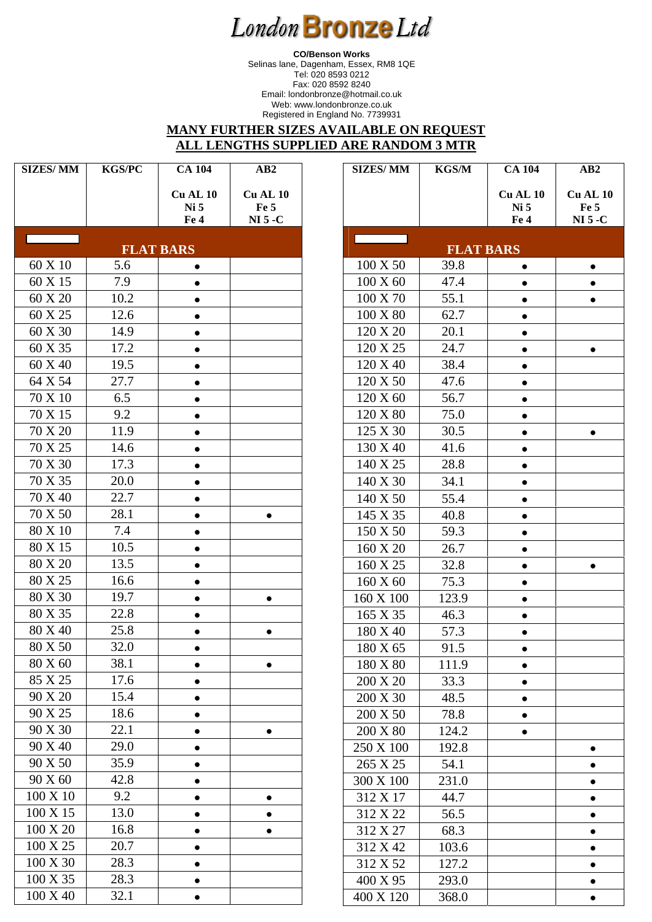**CO/Benson Works**  Selinas lane, Dagenham, Essex, RM8 1QE Tel: 020 8593 0212 Fax: 020 8592 8240 Email: londonbronze@hotmail.co.uk Web: www.londonbronze.co.uk Registered in England No. 7739931

### **MANY FURTHER SIZES AVAILABLE ON REQUEST ALL LENGTHS SUPPLIED ARE RANDOM 3 MTR**

| <b>SIZES/MM</b>                                       | <b>KGS/PC</b> |                         | AB2                     |  |  |  |  |  |  |
|-------------------------------------------------------|---------------|-------------------------|-------------------------|--|--|--|--|--|--|
|                                                       |               | <b>Cu AL 10</b><br>Ni 5 | <b>Cu AL 10</b><br>Fe 5 |  |  |  |  |  |  |
|                                                       |               | Fe 4                    | $NI$ 5 - $C$            |  |  |  |  |  |  |
| <b>Contract Contract Contract</b><br><b>FLAT BARS</b> |               |                         |                         |  |  |  |  |  |  |
| 60 X 10                                               | 5.6           | $\bullet$               |                         |  |  |  |  |  |  |
| 60 X 15                                               | 7.9           |                         |                         |  |  |  |  |  |  |
| 60 X 20                                               | 10.2          | $\bullet$               |                         |  |  |  |  |  |  |
| 60 X 25                                               | 12.6          | ٠                       |                         |  |  |  |  |  |  |
| 60 X 30                                               | 14.9          | $\bullet$               |                         |  |  |  |  |  |  |
| 60 X 35                                               | 17.2          | $\bullet$               |                         |  |  |  |  |  |  |
| 60 X 40                                               | 19.5          |                         |                         |  |  |  |  |  |  |
| 64 X 54                                               | 27.7          |                         |                         |  |  |  |  |  |  |
| 70 X 10                                               | 6.5           | $\bullet$               |                         |  |  |  |  |  |  |
| 70 X 15                                               | 9.2           | $\bullet$               |                         |  |  |  |  |  |  |
| 70 X 20                                               | 11.9          |                         |                         |  |  |  |  |  |  |
| 70 X 25                                               | 14.6          |                         |                         |  |  |  |  |  |  |
| 70 X 30                                               | 17.3          |                         |                         |  |  |  |  |  |  |
| 70 X 35                                               | 20.0          | $\bullet$               |                         |  |  |  |  |  |  |
| 70 X 40                                               | 22.7          |                         |                         |  |  |  |  |  |  |
| 70 X 50                                               | 28.1          |                         |                         |  |  |  |  |  |  |
| 80 X 10                                               | 7.4           |                         |                         |  |  |  |  |  |  |
| 80 X 15                                               | 10.5          |                         |                         |  |  |  |  |  |  |
| 80 X 20                                               | 13.5          |                         |                         |  |  |  |  |  |  |
| 80 X 25                                               | 16.6          | $\bullet$               |                         |  |  |  |  |  |  |
| 80 X 30                                               | 19.7          | ٠                       | $\bullet$               |  |  |  |  |  |  |
| 80 X 35                                               | 22.8          | $\bullet$               |                         |  |  |  |  |  |  |
| 80 X 40                                               | 25.8          | $\bullet$               |                         |  |  |  |  |  |  |
| 80 X 50                                               | 32.0          |                         |                         |  |  |  |  |  |  |
| 80 X 60                                               | 38.1          |                         |                         |  |  |  |  |  |  |
| 85 X 25                                               | 17.6          |                         |                         |  |  |  |  |  |  |
| 90 X 20                                               | 15.4          |                         |                         |  |  |  |  |  |  |
| 90 X 25                                               | 18.6          |                         |                         |  |  |  |  |  |  |
| 90 X 30                                               | 22.1          | $\bullet$               | $\bullet$               |  |  |  |  |  |  |
| 90 X 40                                               | 29.0          |                         |                         |  |  |  |  |  |  |
| 90 X 50                                               | 35.9          |                         |                         |  |  |  |  |  |  |
| 90 X 60                                               | 42.8          |                         |                         |  |  |  |  |  |  |
| 100 X 10                                              | 9.2           |                         |                         |  |  |  |  |  |  |
| 100 X 15                                              | 13.0          |                         |                         |  |  |  |  |  |  |
| 100 X 20                                              | 16.8          |                         |                         |  |  |  |  |  |  |
| 100 X 25                                              | 20.7          |                         |                         |  |  |  |  |  |  |
| 100 X 30                                              | 28.3          |                         |                         |  |  |  |  |  |  |
| 100 X 35                                              | 28.3          |                         |                         |  |  |  |  |  |  |
| 100 X 40                                              | 32.1          |                         |                         |  |  |  |  |  |  |

| <b>SIZES/MM</b> | <b>KGS/M</b>     | <b>CA 104</b>   | AB2          |
|-----------------|------------------|-----------------|--------------|
|                 |                  | <b>Cu AL 10</b> | Cu AL 10     |
|                 |                  | Ni <sub>5</sub> | Fe 5         |
|                 |                  | Fe 4            | $NI$ 5 - $C$ |
|                 | <b>FLAT BARS</b> |                 |              |
| 100 X 50        | 39.8             |                 | $\bullet$    |
| 100 X 60        | 47.4             |                 |              |
| 100 X 70        | 55.1             |                 |              |
| 100 X 80        | 62.7             |                 |              |
| 120 X 20        | 20.1             | $\bullet$       |              |
| 120 X 25        | 24.7             | $\bullet$       |              |
| 120 X 40        | 38.4             | $\bullet$       |              |
| 120 X 50        | 47.6             | ٠               |              |
| 120 X 60        | 56.7             | $\bullet$       |              |
| 120 X 80        | 75.0             | ٠               |              |
| 125 X 30        | 30.5             |                 |              |
| 130 X 40        | 41.6             |                 |              |
| 140 X 25        | 28.8             | $\bullet$       |              |
| 140 X 30        | 34.1             | ٠               |              |
| 140 X 50        | 55.4             |                 |              |
| 145 X 35        | 40.8             |                 |              |
| 150 X 50        | 59.3             | $\bullet$       |              |
| 160 X 20        | 26.7             | $\bullet$       |              |
| 160 X 25        | 32.8             |                 |              |
| 160 X 60        | 75.3             | $\bullet$       |              |
| 160 X 100       | 123.9            | ٠               |              |
| 165 X 35        | 46.3             | $\bullet$       |              |
| 180 X 40        | 57.3             |                 |              |
| 180 X 65        | 91.5             |                 |              |
| 180 X 80        | 111.9            |                 |              |
| 200 X 20        | 33.3             |                 |              |
| 200 X 30        | 48.5             | $\bullet$       |              |
| 200 X 50        | 78.8             | $\bullet$       |              |
| 200 X 80        | 124.2            | $\bullet$       |              |
| 250 X 100       | 192.8            |                 |              |
| 265 X 25        | 54.1             |                 |              |
| 300 X 100       | 231.0            |                 |              |
| 312 X 17        | 44.7             |                 |              |
| 312 X 22        | 56.5             |                 |              |
| 312 X 27        | 68.3             |                 |              |
| 312 X 42        | 103.6            |                 |              |
| 312 X 52        | 127.2            |                 |              |
| 400 X 95        | 293.0            |                 | ٠            |
| 400 X 120       | 368.0            |                 |              |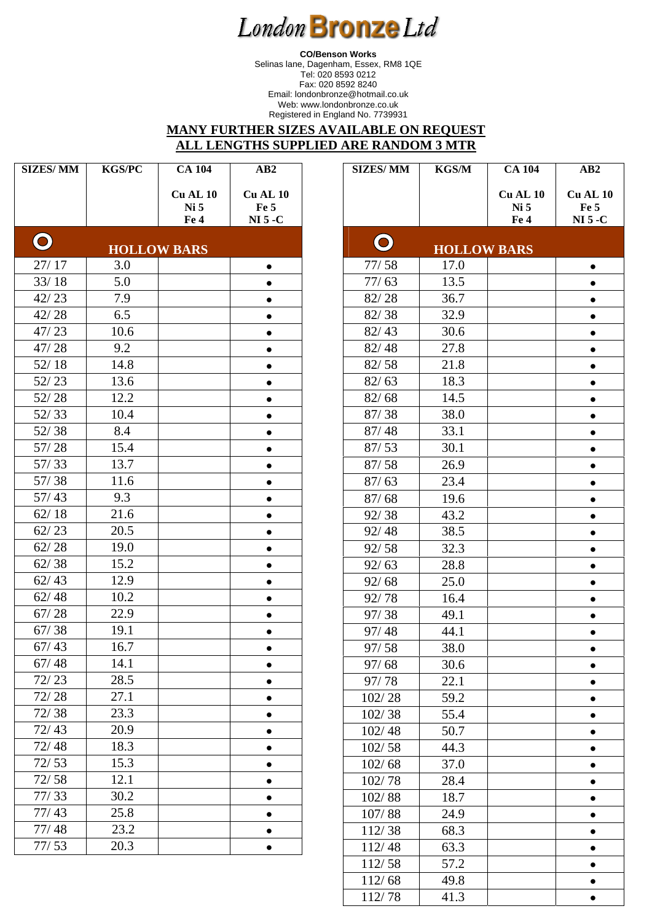**CO/Benson Works**  Selinas lane, Dagenham, Essex, RM8 1QE Tel: 020 8593 0212 Fax: 020 8592 8240 Email: londonbronze@hotmail.co.uk Web: www.londonbronze.co.uk Registered in England No. 7739931

#### **MANY FURTHER SIZES AVAILABLE ON REQUEST ALL LENGTHS SUPPLIED ARE RANDOM 3 MTR**

| <b>SIZES/MM</b> | <b>KGS/PC</b> | <b>CA 104</b>                      | AB2                     | <b>SIZES/MM</b> | <b>KGS/M</b>       | <b>CA 104</b>           | AB2                     |
|-----------------|---------------|------------------------------------|-------------------------|-----------------|--------------------|-------------------------|-------------------------|
|                 |               | <b>Cu AL 10</b><br>Ni <sub>5</sub> | <b>Cu AL 10</b><br>Fe 5 |                 |                    | <b>Cu AL 10</b><br>Ni 5 | <b>Cu AL 10</b><br>Fe 5 |
|                 |               | Fe 4                               | $NI$ 5 - $C$            |                 |                    | Fe 4                    | $NI$ 5 - $C$            |
| $\mathbf O$     |               | <b>HOLLOW BARS</b>                 |                         | $\mathbf O$     | <b>HOLLOW BARS</b> |                         |                         |
| 27/17           | 3.0           |                                    | $\bullet$               | 77/58           | 17.0               |                         |                         |
| 33/18           | 5.0           |                                    | $\bullet$               | 77/63           | 13.5               |                         |                         |
| 42/23           | 7.9           |                                    | $\bullet$               | 82/28           | 36.7               |                         |                         |
| 42/28           | 6.5           |                                    | $\bullet$               | 82/38           | 32.9               |                         | $\bullet$               |
| 47/23           | 10.6          |                                    | $\bullet$               | 82/43           | 30.6               |                         |                         |
| 47/28           | 9.2           |                                    | $\bullet$               | 82/48           | 27.8               |                         |                         |
| 52/18           | 14.8          |                                    |                         | 82/58           | 21.8               |                         |                         |
| 52/23           | 13.6          |                                    | $\bullet$               | 82/63           | 18.3               |                         |                         |
| 52/28           | 12.2          |                                    | $\bullet$               | 82/68           | 14.5               |                         |                         |
| 52/33           | 10.4          |                                    |                         | 87/38           | 38.0               |                         |                         |
| 52/38           | 8.4           |                                    | $\bullet$               | 87/48           | 33.1               |                         |                         |
| 57/28           | 15.4          |                                    | $\bullet$               | 87/53           | 30.1               |                         | $\bullet$               |
| 57/33           | 13.7          |                                    | $\bullet$               | 87/58           | 26.9               |                         | $\bullet$               |
| 57/38           | 11.6          |                                    | $\bullet$               | 87/63           | 23.4               |                         |                         |
| 57/43           | 9.3           |                                    | $\bullet$               | 87/68           | 19.6               |                         |                         |
| 62/18           | 21.6          |                                    | $\bullet$               | 92/38           | 43.2               |                         | $\bullet$               |
| 62/23           | 20.5          |                                    | $\bullet$               | 92/48           | 38.5               |                         | $\bullet$               |
| 62/28           | 19.0          |                                    | $\bullet$               | 92/58           | 32.3               |                         |                         |
| 62/38           | 15.2          |                                    | $\bullet$               | 92/63           | 28.8               |                         |                         |
| 62/43           | 12.9          |                                    | $\bullet$               | 92/68           | 25.0               |                         |                         |
| 62/48           | 10.2          |                                    | $\bullet$               | 92/78           | 16.4               |                         |                         |
| 67/28           | 22.9          |                                    | $\bullet$               | 97/38           | 49.1               |                         |                         |
| 67/38           | 19.1          |                                    | $\bullet$               | 97/48           | 44.1               |                         |                         |
| 67/43           | 16.7          |                                    | $\bullet$               | 97/58           | 38.0               |                         |                         |
| 67/48           | 14.1          |                                    | $\bullet$               | 97/68           | 30.6               |                         |                         |
| 72/23           | 28.5          |                                    | ٠                       | 97/78           | 22.1               |                         | $\bullet$               |
| 72/28           | 27.1          |                                    | $\bullet$               | 102/28          | 59.2               |                         |                         |
| 72/38           | 23.3          |                                    |                         | 102/38          | 55.4               |                         |                         |
| 72/43           | 20.9          |                                    |                         | 102/48          | 50.7               |                         |                         |
| 72/48           | 18.3          |                                    | $\bullet$               | 102/58          | 44.3               |                         |                         |
| 72/53           | 15.3          |                                    | $\bullet$               | 102/68          | 37.0               |                         |                         |
| 72/58           | 12.1          |                                    | $\bullet$               | 102/78          | 28.4               |                         |                         |
| 77/33           | 30.2          |                                    | $\bullet$               | 102/88          | 18.7               |                         |                         |
| 77/43           | 25.8          |                                    | $\bullet$               | 107/88          | 24.9               |                         |                         |
| 77/48           | 23.2          |                                    | $\bullet$               | 112/38          | 68.3               |                         |                         |
| 77/53           | 20.3          |                                    | $\bullet$               | 112/48          | 63.3               |                         |                         |
|                 |               |                                    |                         | 112/58          | 57.2               |                         | ٠                       |

112/68 49.8  $\bullet$  $112/78$  41.3